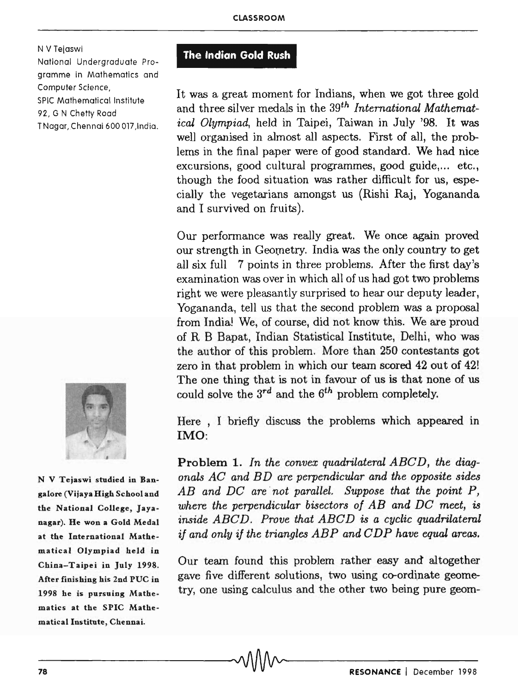N V Tejaswi

National Undergraduate Programme in Mathematics and Computer Science, SPIC Mathematical Institute 92, G N Chetty Road T Nagar,Chennai 600017 ,India.



N V Tejaswi studied in Bangalore (Vijaya High School and the National College, Jayanagar). He won a Gold Medal at the International Mathematical Olympiad held in China-Taipei in July 1998. After finishing his 2nd PUC in 1998 he is pursuing Mathematics at the SPIC Mathematical Institute, Chennai.

## **The Indian Gold Rush**

It was a great moment for Indians, when we got three gold and three silver medals in the *39th International Mathematical Olympiad,* held in Taipei, Taiwan in July '98. It was well organised in almost all aspects. First of all, the problems in the final paper were of good standard. We had nice excursions, good cultural programmes, good guide,... etc., though the food situation was rather difficult for us, especially the vegetarians amongst us (Rishi Raj, Yogananda and I survived on fruits).

Our perfonnance was really great. We once again proved our strength in Geometry. India was the only country to get all six full 7 points in three problems. After the first day's examination was over in which all of us had got two problems right we were pleasantly surprised to hear our deputy leader, Yogananda, tell us that the second problem was a proposal from India! We, of course, did not know this. We are proud of R B Bapat, Indian Statistical Institute, Delhi, who was the author of this problem. More than 250 contestants got zero in that problem in which our team scored 42 out of 42! The one thing that is not in favour of us is that none of us could solve the *3rd* and the *6th* problem completely.

Here , I briefly discuss the problems which appeared in IMO:

Problem 1. *In the convex quadrilateral ABCD, the diagonals AC and BD are perpendicular and the opposite sides* AB and DC are not parallel. Suppose that the point P, *where the perpendicular bisectors of AB and DC* meet, is *inside ABC D. Prove that ABC D is a cyclic quadrilateml if and only if the triangles ABP and CDP have equal areas.* 

Our team found this problem rather easy and altogether gave five different solutions, two using co-ordinate geometry, one using calculus and the other two being pure geom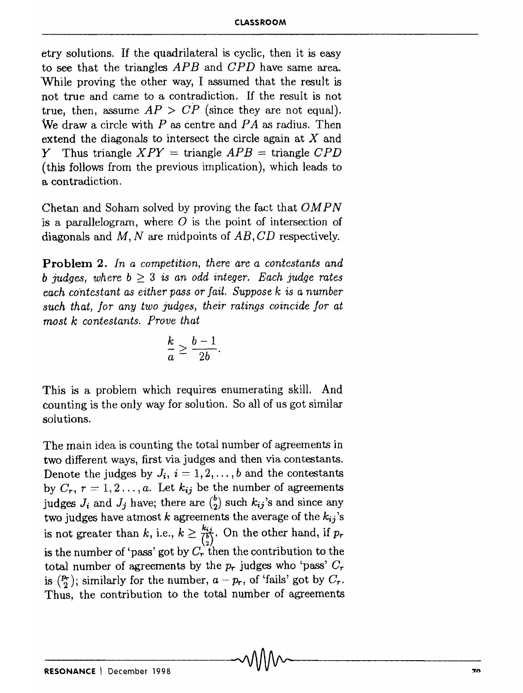etry solutions. If the quadrilateral is cyclic, then it is easy to see that the triangles *APB* and *CPD* have same area. While proving the other way, I assumed that the result is not true and came to a contradiction. If the result is not true, then, assume  $AP > CP$  (since they are not equal). We draw a circle with *P* as centre and *FA* as radius. Then extend the diagonals to intersect the circle again at X and Y Thus triangle  $XPY = \text{triangle } APB = \text{triangle } CPD$ (this follows from the previous implication), which leads to a contradiction.

Chetan and Soham solved by proving the fact that *OM P N*  is a parallelogram, where  $O$  is the point of intersection of diagonals and  $M$ ,  $N$  are midpoints of  $AB$ ,  $CD$  respectively.

**Problem** 2. *In a competition, there are a contestants and b judges, where*  $b \geq 3$  *is an odd integer. Each judge rates each contestant as either pass or fail. Suppose k is a number such that, for any two judges, their Tatings coincide for at most k contestants. Prove that* 

$$
\frac{k}{a} \ge \frac{b-1}{2b}.
$$

This is a problem which requires enumerating skill. And counting is the only way for solution. So all of us got similar solutions.

The main idea is counting the total number of agreements in two different ways, first via judges and then via contestants. Denote the judges by  $J_i$ ,  $i = 1, 2, \ldots, b$  and the contestants by  $C_r$ ,  $r = 1, 2, ..., a$ . Let  $k_{ij}$  be the number of agreements judges  $J_i$  and  $J_j$  have; there are  $\binom{b}{2}$  such  $k_{ij}$ 's and since any two judges have atmost  $k$  agreements the average of the  $k_{ij}$ 's is not greater than k, i.e.,  $k \geq \frac{k_{ij}}{\binom{b}{2}}$ . On the other hand, if  $p_r$ is the number of 'pass' got by  $C_r$  then the contribution to the total number of agreements by the  $p_r$  judges who 'pass'  $C_r$ is  $(P_r)$ ; similarly for the number,  $a - p_r$ , of 'fails' got by  $C_r$ . Thus, the contribution to the total number of agreements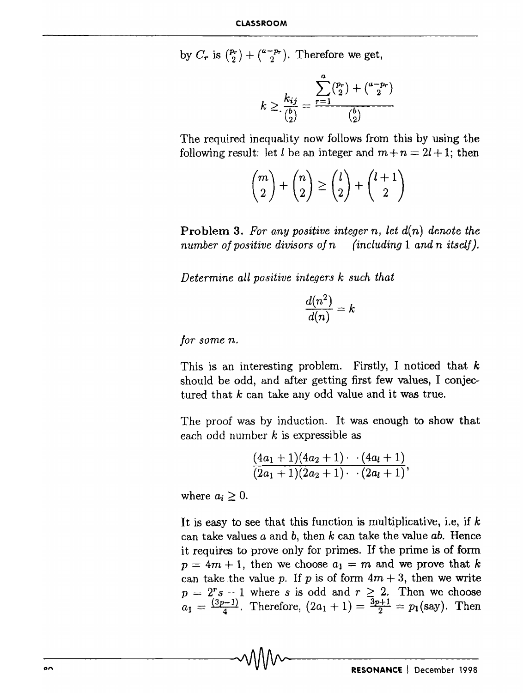by  $C_r$  is  $\binom{p_r}{2} + \binom{a-p_r}{2}$ . Therefore we get,

$$
k \geq \frac{k_{ij}}{\binom{b}{2}} = \frac{\sum_{r=1}^{a} \binom{p_r}{2} + \binom{a-p_r}{2}}{\binom{b}{2}}
$$

The required inequality now follows from this by using the following result: let *l* be an integer and  $m + n = 2l + 1$ ; then

$$
\binom{m}{2} + \binom{n}{2} \ge \binom{l}{2} + \binom{l+1}{2}
$$

Problem 3. *For any positive integer* n, *let* d(n) *denote the number of positive divisors of n (including* 1 *and n itself).* 

*Determine all positive integers k such that* 

$$
\frac{d(n^2)}{d(n)}=k
$$

*Jor some n.* 

This is an interesting problem. Firstly, I noticed that *k*  should be odd, and after getting first few values, I conjectured that *k* can take any odd value and it was true.

The proof was by induction. It was enough to show that each odd number *k* is expressible as

$$
\frac{(4a_1+1)(4a_2+1)\cdot (4a_1+1)}{(2a_1+1)(2a_2+1)\cdot (2a_1+1)},
$$

where  $a_i \geq 0$ .

It is easy to see that this function is multiplicative, i.e, if *k*  can take values *a* and *b*, then *k* can take the value *ab*. Hence it requires to prove only for primes. If the prime is of fonn  $p=4m+1$ , then we choose  $a_1 = m$  and we prove that *k* can take the value p. If p is of form  $4m + 3$ , then we write  $p= 2^r s - 1$  where s is odd and  $r \geq 2$ . Then we choose  $a_1 = \frac{(3p-1)}{4}$ . Therefore,  $(2a_1 + 1) = \frac{3p+1}{2} = p_1$  (say). Then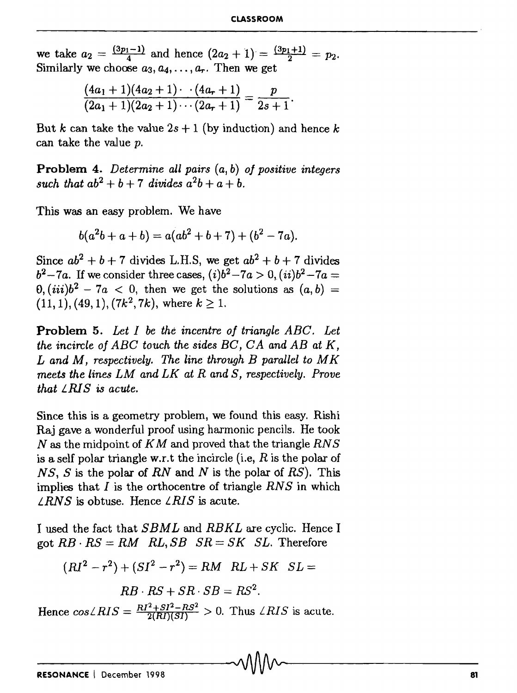we take  $a_2 = \frac{(3p_1-1)}{4}$  and hence  $(2a_2 + 1) = \frac{(3p_1+1)}{2} = p_2$ . Similarly we choose  $a_3, a_4, \ldots, a_r$ . Then we get

$$
\frac{(4a_1+1)(4a_2+1)\cdot (4a_r+1)}{(2a_1+1)(2a_2+1)\cdot (2a_r+1)}=\frac{p}{2s+1}.
$$

But *k* can take the value  $2s + 1$  (by induction) and hence *k* can take the value p.

**Problem** 4. *Determine all pairs (a,* b) *of positive integers such that*  $ab^{2} + b + 7$  *divides*  $a^{2}b + a + b$ .

This was an easy problem. We have

$$
b(a2b + a + b) = a(ab2 + b + 7) + (b2 – 7a).
$$

Since  $ab^2 + b + 7$  divides L.H.S, we get  $ab^2 + b + 7$  divides *b*<sup>2</sup> - 7*a*. If we consider three cases,  $(i)b^{2}$  - 7*a* > 0,  $(ii)b^{2}$  - 7*a* =  $0, (iii)b<sup>2</sup> - 7a < 0$ , then we get the solutions as  $(a, b)$  =  $(11,1)$ ,  $(49,1)$ ,  $(7k^2,7k)$ , where  $k \geq 1$ .

**Problem** 5. *Let I be the incentre of triangle ABC. Let the incircle of ABC touch the sides BC, CA and AB at K, Land* M, *respectively. The line through B parallel to M K meets the lines LM and LK at Rand S, respectively. Prove that L R1 S* is *acute.* 

Since this is a geometry problem, we found this easy. Rishi Raj gave a wonderful proof using harmonic pencils. He took *N* as the midpoint of *K* M and proved that the triangle *RN S*  is a self polar triangle w.r.t the incircle (i.e.  $R$  is the polar of *N S, S* is the polar of *RN* and *N* is the polar of *RS).* This implies that *lis* the orthocentre of triangle *RNS* in which  $\angle RNS$  is obtuse. Hence  $\angle RIS$  is acute.

I used the fact that *SBML* and *RBKL* are cyclic. Hence I got  $RB \cdot RS = RM$   $RL, SB$   $SR = SK$   $SL$ . Therefore

$$
(RI2 - r2) + (SI2 - r2) = RM \; RL + SK \; SL =
$$

$$
RB \cdot RS + SR \cdot SB = RS^2.
$$

Hence  $cos\angle RIS = \frac{RI^2 + SI^2 - RS^2}{2(RI)(SI)} > 0$ . Thus  $\angle RIS$  is acute.